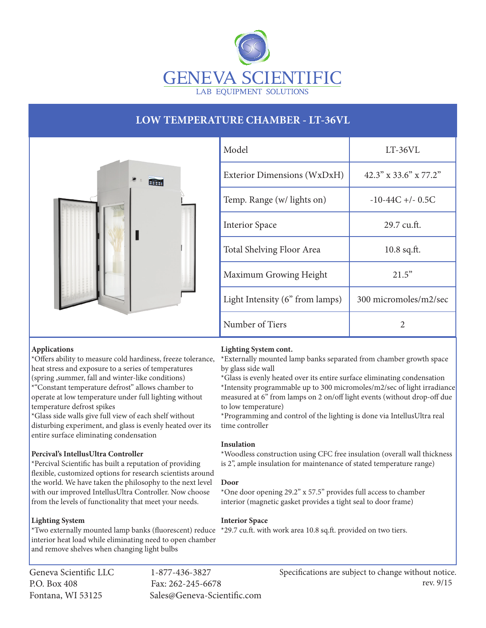

# **LOW TEMPERATURE CHAMBER - LT-36VL**



| Model                           | $LT-36VL$                |
|---------------------------------|--------------------------|
| Exterior Dimensions (WxDxH)     | $42.3''$ x 33.6" x 77.2" |
| Temp. Range (w/ lights on)      | $-10-44C + (-0.5C)$      |
| <b>Interior Space</b>           | 29.7 cu.ft.              |
| Total Shelving Floor Area       | $10.8$ sq.ft.            |
| Maximum Growing Height          | 21.5"                    |
| Light Intensity (6" from lamps) | 300 micromoles/m2/sec    |
| Number of Tiers                 | 2                        |

# **Applications**

\*Offers ability to measure cold hardiness, freeze tolerance, heat stress and exposure to a series of temperatures (spring ,summer, fall and winter-like conditions) \*"Constant temperature defrost" allows chamber to operate at low temperature under full lighting without temperature defrost spikes

\*Glass side walls give full view of each shelf without disturbing experiment, and glass is evenly heated over its entire surface eliminating condensation

# **Percival's IntellusUltra Controller**

\*Percival Scientific has built a reputation of providing flexible, customized options for research scientists around the world. We have taken the philosophy to the next level with our improved IntellusUltra Controller. Now choose from the levels of functionality that meet your needs.

# **Lighting System**

\*Two externally mounted lamp banks (fluorescent) reduce \*29.7 cu.ft. with work area 10.8 sq.ft. provided on two tiers.interior heat load while eliminating need to open chamber and remove shelves when changing light bulbs

Geneva Scientific LLC 1-877-436-3827 P.O. Box 408 Fax: 262-245-6678

Fontana, WI 53125 Sales@Geneva-Scientific.com

## **Lighting System cont.**

\*Externally mounted lamp banks separated from chamber growth space by glass side wall

\*Glass is evenly heated over its entire surface eliminating condensation \*Intensity programmable up to 300 micromoles/m2/sec of light irradiance measured at 6" from lamps on 2 on/off light events (without drop-off due to low temperature)

\*Programming and control of the lighting is done via IntellusUltra real time controller

# **Insulation**

\*Woodless construction using CFC free insulation (overall wall thickness is 2", ample insulation for maintenance of stated temperature range)

## **Door**

\*One door opening 29.2" x 57.5" provides full access to chamber interior (magnetic gasket provides a tight seal to door frame)

## **Interior Space**

Specifications are subject to change without notice. rev. 9/15